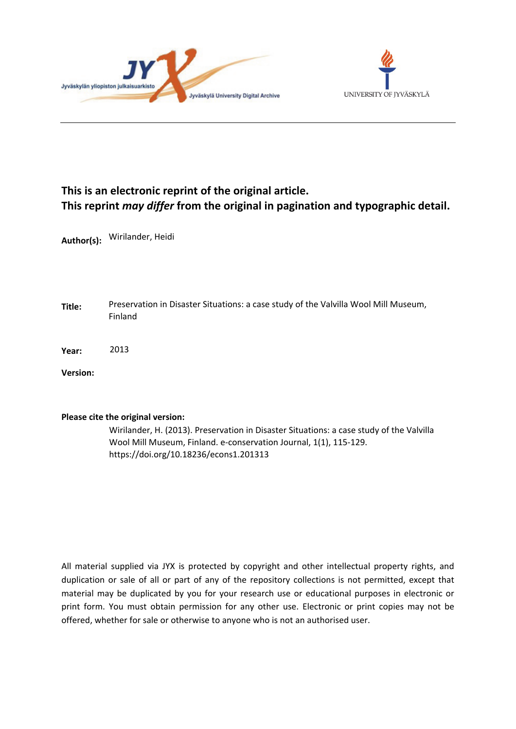



# **This is an electronic reprint of the original article. This reprint** *may differ* **from the original in pagination and typographic detail.**

**Author(s):**  Wirilander, Heidi

**Title:** Preservation in Disaster Situations: a case study of the Valvilla Wool Mill Museum, Finland

**Year:**  2013

**Version:**

# **Please cite the original version:**

Wirilander, H. (2013). Preservation in Disaster Situations: a case study of the Valvilla Wool Mill Museum, Finland. e-conservation Journal, 1(1), 115-129. https://doi.org/10.18236/econs1.201313

All material supplied via JYX is protected by copyright and other intellectual property rights, and duplication or sale of all or part of any of the repository collections is not permitted, except that material may be duplicated by you for your research use or educational purposes in electronic or print form. You must obtain permission for any other use. Electronic or print copies may not be offered, whether for sale or otherwise to anyone who is not an authorised user.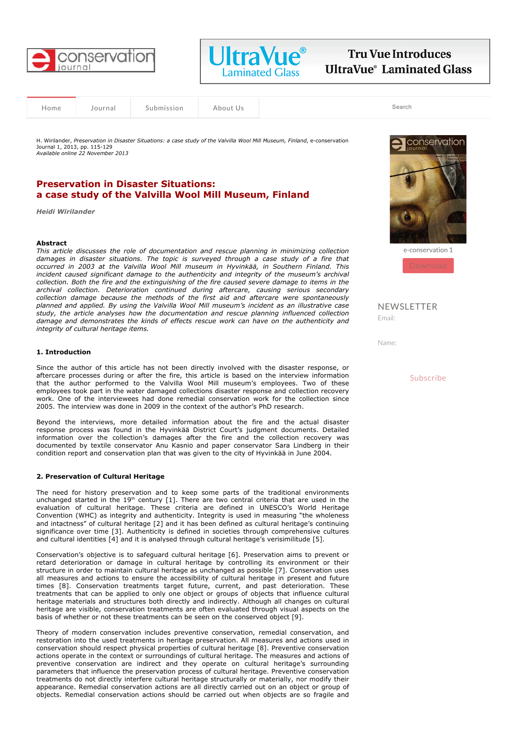



**Tru Vue Introduces UltraVue® Laminated Glass** 

Home Journal Submission About Us

Search

H. Wirilander, *Preservation in Disaster Situations: a case study of the Valvilla Wool Mill Museum, Finland*, e-conservation Journal 1, 2013, pp. 115-129 *Available online 22 November 2013*

# **Preservation in Disaster Situations: a case study of the Valvilla Wool Mill Museum, Finland**

*Heidi Wirilander* 

### **Abstract**

*This article discusses the role of documentation and rescue planning in minimizing collection damages in disaster situations. The topic is surveyed through a case study of a fire that occurred in 2003 at the Valvilla Wool Mill museum in Hyvinkää, in Southern Finland. This incident caused significant damage to the authenticity and integrity of the museum's archival collection. Both the fire and the extinguishing of the fire caused severe damage to items in the archival collection. Deterioration continued during aftercare, causing serious secondary collection damage because the methods of the first aid and aftercare were spontaneously planned and applied. By using the Valvilla Wool Mill museum's incident as an illustrative case study, the article analyses how the documentation and rescue planning influenced collection damage and demonstrates the kinds of effects rescue work can have on the authenticity and integrity of cultural heritage items.* 

#### **1. Introduction**

Since the author of this article has not been directly involved with the disaster response, or aftercare processes during or after the fire, this article is based on the interview information that the author performed to the Valvilla Wool Mill museum's employees. Two of these employees took part in the water damaged collections disaster response and collection recovery work. One of the interviewees had done remedial conservation work for the collection since 2005. The interview was done in 2009 in the context of the author's PhD research.

Beyond the interviews, more detailed information about the fire and the actual disaster response process was found in the Hyvinkää District Court's judgment documents. Detailed information over the collection's damages after the fire and the collection recovery was documented by textile conservator Anu Kasnio and paper conservator Sara Lindberg in their condition report and conservation plan that was given to the city of Hyvinkää in June 2004.

# **2. Preservation of Cultural Heritage**

The need for history preservation and to keep some parts of the traditional environments unchanged started in the  $19<sup>th</sup>$  century [1]. There are two central criteria that are used in the evaluation of cultural heritage. These criteria are defined in UNESCO's World Heritage Convention (WHC) as integrity and authenticity. Integrity is used in measuring "the wholeness and intactness" of cultural heritage [2] and it has been defined as cultural heritage's continuing significance over time [3]. Authenticity is defined in societies through comprehensive cultures and cultural identities [4] and it is analysed through cultural heritage's verisimilitude [5].

Conservation's objective is to safeguard cultural heritage [6]. Preservation aims to prevent or retard deterioration or damage in cultural heritage by controlling its environment or their structure in order to maintain cultural heritage as unchanged as possible [7]. Conservation uses all measures and actions to ensure the accessibility of cultural heritage in present and future times [8]. Conservation treatments target future, current, and past deterioration. These treatments that can be applied to only one object or groups of objects that influence cultural heritage materials and structures both directly and indirectly. Although all changes on cultural heritage are visible, conservation treatments are often evaluated through visual aspects on the basis of whether or not these treatments can be seen on the conserved object [9].

Theory of modern conservation includes preventive conservation, remedial conservation, and restoration into the used treatments in heritage preservation. All measures and actions used in conservation should respect physical properties of cultural heritage [8]. Preventive conservation actions operate in the context or surroundings of cultural heritage. The measures and actions of preventive conservation are indirect and they operate on cultural heritage's surrounding parameters that influence the preservation process of cultural heritage. Preventive conservation treatments do not directly interfere cultural heritage structurally or materially, nor modify their appearance. Remedial conservation actions are all directly carried out on an object or group of objects. Remedial conservation actions should be carried out when objects are so fragile and



e-conservation 1

NEWSLETTER Email:

Name:

Subscribe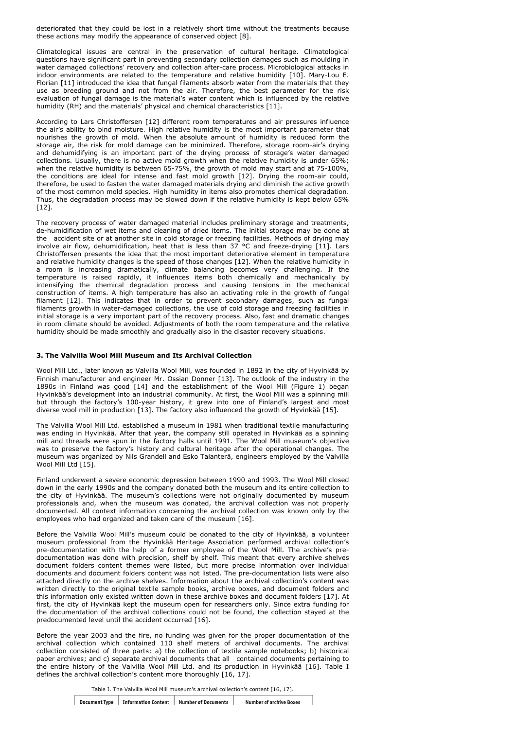deteriorated that they could be lost in a relatively short time without the treatments because these actions may modify the appearance of conserved object [8].

Climatological issues are central in the preservation of cultural heritage. Climatological questions have significant part in preventing secondary collection damages such as moulding in water damaged collections' recovery and collection after-care process. Microbiological attacks in indoor environments are related to the temperature and relative humidity [10]. Mary-Lou E. Florian [11] introduced the idea that fungal filaments absorb water from the materials that they use as breeding ground and not from the air. Therefore, the best parameter for the risk evaluation of fungal damage is the material's water content which is influenced by the relative humidity (RH) and the materials' physical and chemical characteristics [11].

According to Lars Christoffersen [12] different room temperatures and air pressures influence the air's ability to bind moisture. High relative humidity is the most important parameter that nourishes the growth of mold. When the absolute amount of humidity is reduced form the storage air, the risk for mold damage can be minimized. Therefore, storage room-air's drying and dehumidifying is an important part of the drying process of storage's water damaged collections. Usually, there is no active mold growth when the relative humidity is under 65%; when the relative humidity is between 65-75%, the growth of mold may start and at 75-100%, the conditions are ideal for intense and fast mold growth [12]. Drying the room-air could, therefore, be used to fasten the water damaged materials drying and diminish the active growth of the most common mold species. High humidity in items also promotes chemical degradation. Thus, the degradation process may be slowed down if the relative humidity is kept below 65%  $[12]$ .

The recovery process of water damaged material includes preliminary storage and treatments, de-humidification of wet items and cleaning of dried items. The initial storage may be done at the accident site or at another site in cold storage or freezing facilities. Methods of drying may involve air flow, dehumidification, heat that is less than 37 °C and freeze-drying [11]. Lars Christoffersen presents the idea that the most important deteriorative element in temperature and relative humidity changes is the speed of those changes [12]. When the relative humidity in a room is increasing dramatically, climate balancing becomes very challenging. If the temperature is raised rapidly, it influences items both chemically and mechanically by intensifying the chemical degradation process and causing tensions in the mechanical construction of items. A high temperature has also an activating role in the growth of fungal filament [12]. This indicates that in order to prevent secondary damages, such as fungal filaments growth in water-damaged collections, the use of cold storage and freezing facilities in initial storage is a very important part of the recovery process. Also, fast and dramatic changes in room climate should be avoided. Adjustments of both the room temperature and the relative humidity should be made smoothly and gradually also in the disaster recovery situations.

## **3. The Valvilla Wool Mill Museum and Its Archival Collection**

Wool Mill Ltd., later known as Valvilla Wool Mill, was founded in 1892 in the city of Hyvinkää by Finnish manufacturer and engineer Mr. Ossian Donner [13]. The outlook of the industry in the 1890s in Finland was good [14] and the establishment of the Wool Mill (Figure 1) began Hyvinkää's development into an industrial community. At first, the Wool Mill was a spinning mill but through the factory's 100-year history, it grew into one of Finland's largest and most diverse wool mill in production [13]. The factory also influenced the growth of Hyvinkää [15].

The Valvilla Wool Mill Ltd. established a museum in 1981 when traditional textile manufacturing was ending in Hyvinkää. After that year, the company still operated in Hyvinkää as a spinning mill and threads were spun in the factory halls until 1991. The Wool Mill museum's objective was to preserve the factory's history and cultural heritage after the operational changes. The museum was organized by Nils Grandell and Esko Talanterä, engineers employed by the Valvilla Wool Mill Ltd [15].

Finland underwent a severe economic depression between 1990 and 1993. The Wool Mill closed down in the early 1990s and the company donated both the museum and its entire collection to the city of Hyvinkää. The museum's collections were not originally documented by museum professionals and, when the museum was donated, the archival collection was not properly documented. All context information concerning the archival collection was known only by the employees who had organized and taken care of the museum [16].

Before the Valvilla Wool Mill's museum could be donated to the city of Hyvinkää, a volunteer museum professional from the Hyvinkää Heritage Association performed archival collection's pre-documentation with the help of a former employee of the Wool Mill. The archive's predocumentation was done with precision, shelf by shelf. This meant that every archive shelves document folders content themes were listed, but more precise information over individual documents and document folders content was not listed. The pre-documentation lists were also attached directly on the archive shelves. Information about the archival collection's content was written directly to the original textile sample books, archive boxes, and document folders and this information only existed written down in these archive boxes and document folders [17]. At first, the city of Hyvinkää kept the museum open for researchers only. Since extra funding for the documentation of the archival collections could not be found, the collection stayed at the predocumented level until the accident occurred [16].

Before the year 2003 and the fire, no funding was given for the proper documentation of the archival collection which contained 110 shelf meters of archival documents. The archival collection consisted of three parts: a) the collection of textile sample notebooks; b) historical paper archives; and c) separate archival documents that all contained documents pertaining to the entire history of the Valvilla Wool Mill Ltd. and its production in Hyvinkää [16]. Table I defines the archival collection's content more thoroughly [16, 17].

Table I. The Valvilla Wool Mill museum's archival collection's content [16, 17].

| <b>Document Type</b> | <b>Information Content</b> | <b>Number of Documents</b> | <b>Number of archive Boxes</b> |
|----------------------|----------------------------|----------------------------|--------------------------------|
|----------------------|----------------------------|----------------------------|--------------------------------|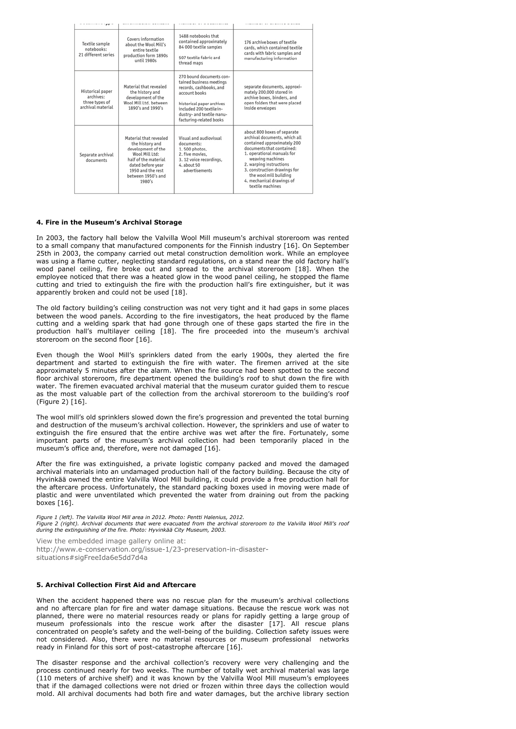| Textile sample<br>notebooks:<br>21 different series                  | Covers information<br>about the Wool Mill's<br>entire textile<br>production form 1890s<br>until 1980s                                                                               | 1488 notebooks that<br>contained approximately<br>84 000 textile samples<br>507 textile fabric and<br>thread maps                                                                                                 | 176 archive boxes of textile<br>cards, which contained textile<br>cards with fabric samples and<br>manufacturing information                                                                                                                                                                                     |
|----------------------------------------------------------------------|-------------------------------------------------------------------------------------------------------------------------------------------------------------------------------------|-------------------------------------------------------------------------------------------------------------------------------------------------------------------------------------------------------------------|------------------------------------------------------------------------------------------------------------------------------------------------------------------------------------------------------------------------------------------------------------------------------------------------------------------|
| Historical paper<br>archives:<br>three types of<br>archival material | Material that revealed<br>the history and<br>development of the<br>Wool Mill Ltd. between<br>1890's and 1990's                                                                      | 270 bound documents con-<br>tained business meetings<br>records, cashbooks, and<br>account books<br>historical paper archives<br>included 200 textile in-<br>dustry- and textile manu-<br>facturing-related books | separate documents, approxi-<br>mately 200,000 stored in<br>archive boxes, binders, and<br>open folders that were placed<br>inside envelopes                                                                                                                                                                     |
| Separate archival<br>documents                                       | Material that revealed<br>the history and<br>development of the<br>Wool Mill Ltd:<br>half of the material<br>dated before year<br>1950 and the rest<br>between 1950's and<br>1980's | Visual and audiovisual<br>documents:<br>1.500 photos,<br>2. five movies,<br>3. 12 voice recordings.<br>4. about 50<br>advertisements                                                                              | about 800 boxes of separate<br>archival documents, which all<br>contained approximately 200<br>documents that contained:<br>1. operational manuals for<br>weaving machines<br>2. warping instructions<br>3. construction drawings for<br>the wool mill building<br>4. mechanical drawings of<br>textile machines |

#### **4. Fire in the Museum's Archival Storage**

In 2003, the factory hall below the Valvilla Wool Mill museum's archival storeroom was rented to a small company that manufactured components for the Finnish industry [16]. On September 25th in 2003, the company carried out metal construction demolition work. While an employee was using a flame cutter, neglecting standard regulations, on a stand near the old factory hall's wood panel ceiling, fire broke out and spread to the archival storeroom [18]. When the employee noticed that there was a heated glow in the wood panel ceiling, he stopped the flame cutting and tried to extinguish the fire with the production hall's fire extinguisher, but it was apparently broken and could not be used [18].

The old factory building's ceiling construction was not very tight and it had gaps in some places between the wood panels. According to the fire investigators, the heat produced by the flame cutting and a welding spark that had gone through one of these gaps started the fire in the production hall's multilayer ceiling [18]. The fire proceeded into the museum's archival storeroom on the second floor [16].

Even though the Wool Mill's sprinklers dated from the early 1900s, they alerted the fire department and started to extinguish the fire with water. The firemen arrived at the site approximately 5 minutes after the alarm. When the fire source had been spotted to the second floor archival storeroom, fire department opened the building's roof to shut down the fire with water. The firemen evacuated archival material that the museum curator guided them to rescue as the most valuable part of the collection from the archival storeroom to the building's roof (Figure 2) [16].

The wool mill's old sprinklers slowed down the fire's progression and prevented the total burning and destruction of the museum's archival collection. However, the sprinklers and use of water to extinguish the fire ensured that the entire archive was wet after the fire. Fortunately, some important parts of the museum's archival collection had been temporarily placed in the museum's office and, therefore, were not damaged [16].

After the fire was extinguished, a private logistic company packed and moved the damaged archival materials into an undamaged production hall of the factory building. Because the city of Hyvinkää owned the entire Valvilla Wool Mill building, it could provide a free production hall for the aftercare process. Unfortunately, the standard packing boxes used in moving were made of plastic and were unventilated which prevented the water from draining out from the packing boxes [16].

*Figure 1 (left). The Valvilla Wool Mill area in 2012. Photo: Pentti Halenius, 2012. Figure 2 (right). Archival documents that were evacuated from the archival storeroom to the Valvilla Wool Mill's roof during the extinguishing of the fire. Photo: Hyvinkää City Museum, 2003.*

View the embedded image gallery online at: http://www.e-conservation.org/issue-1/23-preservation-in-disastersituations#sigFreeIda6e5dd7d4a

#### **5. Archival Collection First Aid and Aftercare**

When the accident happened there was no rescue plan for the museum's archival collections and no aftercare plan for fire and water damage situations. Because the rescue work was not planned, there were no material resources ready or plans for rapidly getting a large group of museum professionals into the rescue work after the disaster [17]. All rescue plans concentrated on people's safety and the well-being of the building. Collection safety issues were not considered. Also, there were no material resources or museum professional networks ready in Finland for this sort of post-catastrophe aftercare [16].

The disaster response and the archival collection's recovery were very challenging and the process continued nearly for two weeks. The number of totally wet archival material was large (110 meters of archive shelf) and it was known by the Valvilla Wool Mill museum's employees that if the damaged collections were not dried or frozen within three days the collection would mold. All archival documents had both fire and water damages, but the archive library section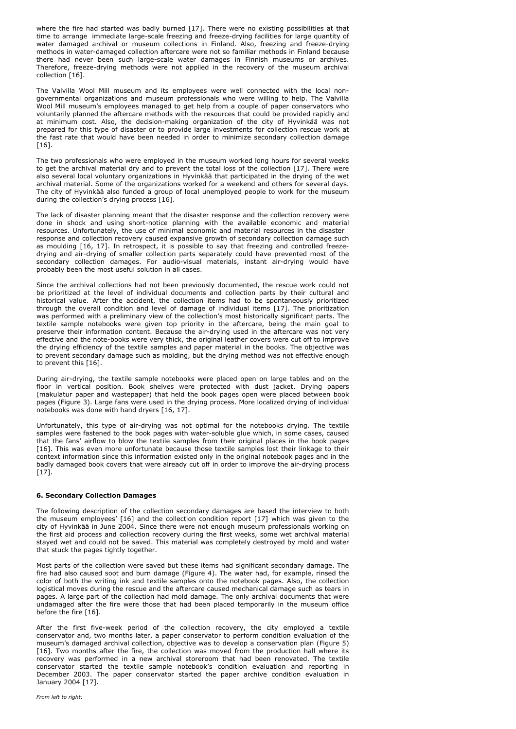where the fire had started was badly burned [17]. There were no existing possibilities at that time to arrange immediate large-scale freezing and freeze-drying facilities for large quantity of water damaged archival or museum collections in Finland. Also, freezing and freeze-drying methods in water-damaged collection aftercare were not so familiar methods in Finland because there had never been such large-scale water damages in Finnish museums or archives. Therefore, freeze-drying methods were not applied in the recovery of the museum archival collection [16].

The Valvilla Wool Mill museum and its employees were well connected with the local nongovernmental organizations and museum professionals who were willing to help. The Valvilla Wool Mill museum's employees managed to get help from a couple of paper conservators who voluntarily planned the aftercare methods with the resources that could be provided rapidly and at minimum cost. Also, the decision-making organization of the city of Hyvinkää was not prepared for this type of disaster or to provide large investments for collection rescue work at the fast rate that would have been needed in order to minimize secondary collection damage  $[16]$ .

The two professionals who were employed in the museum worked long hours for several weeks to get the archival material dry and to prevent the total loss of the collection [17]. There were also several local voluntary organizations in Hyvinkää that participated in the drying of the wet archival material. Some of the organizations worked for a weekend and others for several days. The city of Hyvinkää also funded a group of local unemployed people to work for the museum during the collection's drying process [16].

The lack of disaster planning meant that the disaster response and the collection recovery were done in shock and using short-notice planning with the available economic and material resources. Unfortunately, the use of minimal economic and material resources in the disaster response and collection recovery caused expansive growth of secondary collection damage such as moulding [16, 17]. In retrospect, it is possible to say that freezing and controlled freezedrying and air-drying of smaller collection parts separately could have prevented most of the secondary collection damages. For audio-visual materials, instant air-drying would have probably been the most useful solution in all cases.

Since the archival collections had not been previously documented, the rescue work could not be prioritized at the level of individual documents and collection parts by their cultural and historical value. After the accident, the collection items had to be spontaneously prioritized through the overall condition and level of damage of individual items [17]. The prioritization was performed with a preliminary view of the collection's most historically significant parts. The textile sample notebooks were given top priority in the aftercare, being the main goal to preserve their information content. Because the air-drying used in the aftercare was not very effective and the note-books were very thick, the original leather covers were cut off to improve the drying efficiency of the textile samples and paper material in the books. The objective was to prevent secondary damage such as molding, but the drying method was not effective enough to prevent this [16].

During air-drying, the textile sample notebooks were placed open on large tables and on the floor in vertical position. Book shelves were protected with dust jacket. Drying papers (makulatur paper and wastepaper) that held the book pages open were placed between book pages (Figure 3). Large fans were used in the drying process. More localized drying of individual notebooks was done with hand dryers [16, 17].

Unfortunately, this type of air-drying was not optimal for the notebooks drying. The textile samples were fastened to the book pages with water-soluble glue which, in some cases, caused that the fans' airflow to blow the textile samples from their original places in the book pages [16]. This was even more unfortunate because those textile samples lost their linkage to their context information since this information existed only in the original notebook pages and in the badly damaged book covers that were already cut off in order to improve the air-drying process [17].

#### **6. Secondary Collection Damages**

The following description of the collection secondary damages are based the interview to both the museum employees' [16] and the collection condition report [17] which was given to the city of Hyvinkää in June 2004. Since there were not enough museum professionals working on the first aid process and collection recovery during the first weeks, some wet archival material stayed wet and could not be saved. This material was completely destroyed by mold and water that stuck the pages tightly together.

Most parts of the collection were saved but these items had significant secondary damage. The fire had also caused soot and burn damage (Figure 4). The water had, for example, rinsed the color of both the writing ink and textile samples onto the notebook pages. Also, the collection logistical moves during the rescue and the aftercare caused mechanical damage such as tears in pages. A large part of the collection had mold damage. The only archival documents that were undamaged after the fire were those that had been placed temporarily in the museum office before the fire [16].

After the first five-week period of the collection recovery, the city employed a textile conservator and, two months later, a paper conservator to perform condition evaluation of the museum's damaged archival collection, objective was to develop a conservation plan (Figure 5) [16]. Two months after the fire, the collection was moved from the production hall where its recovery was performed in a new archival storeroom that had been renovated. The textile conservator started the textile sample notebook's condition evaluation and reporting in December 2003. The paper conservator started the paper archive condition evaluation in January 2004 [17].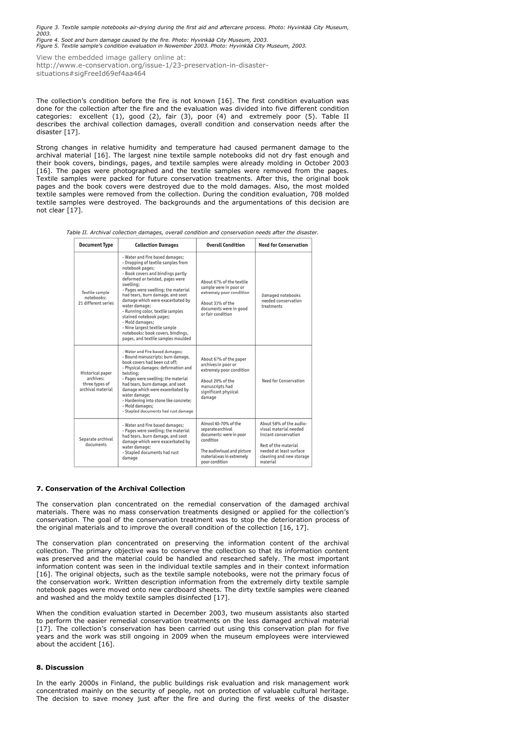*Figure 3. Textile sample notebooks air-drying during the first aid and aftercare process. Photo: Hyvinkää City Museum, 2003. Figure 4. Soot and burn damage caused by the fire. Photo: Hyvinkää City Museum, 2003.*

*Figure 5. Textile sample's condition evaluation in Nowember 2003. Photo: Hyvinkää City Museum, 2003.*

View the embedded image gallery online at:

http://www.e-conservation.org/issue-1/23-preservation-in-disastersituations#sigFreeId69ef4aa464

The collection's condition before the fire is not known [16]. The first condition evaluation was done for the collection after the fire and the evaluation was divided into five different condition categories: excellent (1), good (2), fair (3), poor (4) and extremely poor (5). Table II describes the archival collection damages, overall condition and conservation needs after the disaster [17].

Strong changes in relative humidity and temperature had caused permanent damage to the archival material [16]. The largest nine textile sample notebooks did not dry fast enough and their book covers, bindings, pages, and textile samples were already molding in October 2003 [16]. The pages were photographed and the textile samples were removed from the pages. Textile samples were packed for future conservation treatments. After this, the original book pages and the book covers were destroyed due to the mold damages. Also, the most molded textile samples were removed from the collection. During the condition evaluation, 708 molded textile samples were destroyed. The backgrounds and the argumentations of this decision are not clear [17].

*Table II. Archival collection damages, overall condition and conservation needs after the disaster.*

| <b>Document Type</b>                                                 | <b>Collection Damages</b>                                                                                                                                                                                                                                                                                                                                                                                                                                                                                   | <b>Overall Condition</b>                                                                                                                                        | <b>Need for Conservation</b>                                                                                                                                         |
|----------------------------------------------------------------------|-------------------------------------------------------------------------------------------------------------------------------------------------------------------------------------------------------------------------------------------------------------------------------------------------------------------------------------------------------------------------------------------------------------------------------------------------------------------------------------------------------------|-----------------------------------------------------------------------------------------------------------------------------------------------------------------|----------------------------------------------------------------------------------------------------------------------------------------------------------------------|
| Textile sample<br>notebooks:<br>21 different series                  | - Water and fire based damages;<br>- Dropping of textile samples from<br>notebook pages;<br>- Book covers and bindings partly<br>deformed or twisted, pages were<br>swelling:<br>- Pages were swelling; the material<br>had tears, burn damage, and soot<br>damage which were exacerbated by<br>water damage;<br>- Running color, textile samples<br>stained notebook pages;<br>- Mold damages;<br>- Nine largest textile sample<br>notebooks: book covers, bindings,<br>pages, and textile samples moulded | About 67% of the textile<br>sample were in poor or<br>extremely poor condition<br>About 33% of the<br>documents were in good<br>or fair condition               | Damaged notebooks<br>needed conservation<br>treatments                                                                                                               |
| Historical paper<br>archives:<br>three types of<br>archival material | - Water and fire based damages:<br>- Bound manuscripts: burn damage,<br>book covers had been cut off:<br>- Physical damages: deformation and<br>twisting:<br>- Pages were swelling; the material<br>had tears, burn damage, and soot<br>damage which were exacerbated by<br>water damage;<br>- Hardening into stone like concrete;<br>- Mold damages:<br>- Stapled documents had rust damage                                                                                                                | About 67% of the paper<br>archives in poor or<br>extremely poor condition<br>About 20% of the<br>manuscripts had<br>significant physical<br>damage              | Need for Conservation                                                                                                                                                |
| Separate archival<br>documents                                       | - Water and fire based damages:<br>- Pages were swelling; the material<br>had tears, burn damage, and soot<br>damage which were exacerbated by<br>water damage:<br>- Stapled documents had rust<br>damage                                                                                                                                                                                                                                                                                                   | Almost 60-70% of the<br>separate archival<br>documents: were in poor<br>condition<br>The audiovisual and picture<br>material was in extremely<br>poor condition | About 58% of the audio-<br>visual material needed<br>instant conservation<br>Rest of the material<br>needed at least surface<br>cleaning and new storage<br>material |

# **7. Conservation of the Archival Collection**

The conservation plan concentrated on the remedial conservation of the damaged archival materials. There was no mass conservation treatments designed or applied for the collection's conservation. The goal of the conservation treatment was to stop the deterioration process of the original materials and to improve the overall condition of the collection [16, 17].

The conservation plan concentrated on preserving the information content of the archival collection. The primary objective was to conserve the collection so that its information content was preserved and the material could be handled and researched safely. The most important information content was seen in the individual textile samples and in their context information [16]. The original objects, such as the textile sample notebooks, were not the primary focus of the conservation work. Written description information from the extremely dirty textile sample notebook pages were moved onto new cardboard sheets. The dirty textile samples were cleaned and washed and the moldy textile samples disinfected [17].

When the condition evaluation started in December 2003, two museum assistants also started to perform the easier remedial conservation treatments on the less damaged archival material [17]. The collection's conservation has been carried out using this conservation plan for five years and the work was still ongoing in 2009 when the museum employees were interviewed about the accident [16].

#### **8. Discussion**

In the early 2000s in Finland, the public buildings risk evaluation and risk management work concentrated mainly on the security of people, not on protection of valuable cultural heritage. The decision to save money just after the fire and during the first weeks of the disaster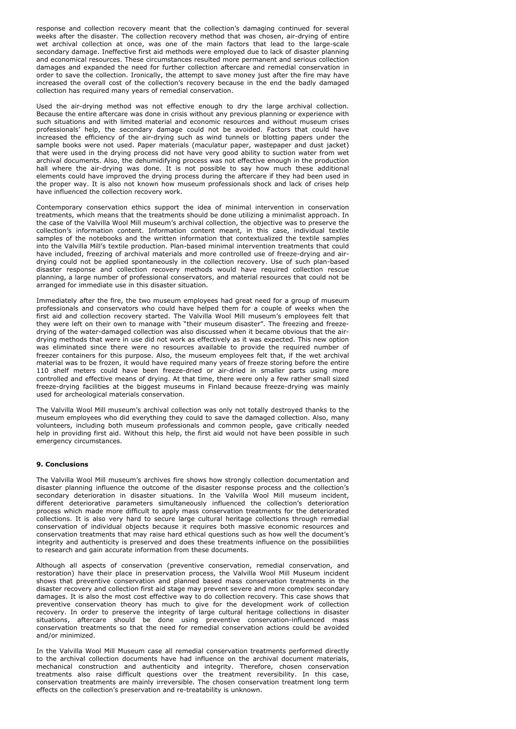response and collection recovery meant that the collection's damaging continued for several weeks after the disaster. The collection recovery method that was chosen, air-drying of entire wet archival collection at once, was one of the main factors that lead to the large-scale secondary damage. Ineffective first aid methods were employed due to lack of disaster planning and economical resources. These circumstances resulted more permanent and serious collection damages and expanded the need for further collection aftercare and remedial conservation in order to save the collection. Ironically, the attempt to save money just after the fire may have increased the overall cost of the collection's recovery because in the end the badly damaged collection has required many years of remedial conservation.

Used the air-drying method was not effective enough to dry the large archival collection. Because the entire aftercare was done in crisis without any previous planning or experience with such situations and with limited material and economic resources and without museum crises professionals' help, the secondary damage could not be avoided. Factors that could have increased the efficiency of the air-drying such as wind tunnels or blotting papers under the sample books were not used. Paper materials (maculatur paper, wastepaper and dust jacket) that were used in the drying process did not have very good ability to suction water from wet archival documents. Also, the dehumidifying process was not effective enough in the production hall where the air-drying was done. It is not possible to say how much these additional elements could have improved the drying process during the aftercare if they had been used in the proper way. It is also not known how museum professionals shock and lack of crises help have influenced the collection recovery work.

Contemporary conservation ethics support the idea of minimal intervention in conservation treatments, which means that the treatments should be done utilizing a minimalist approach. In the case of the Valvilla Wool Mill museum's archival collection, the objective was to preserve the collection's information content. Information content meant, in this case, individual textile samples of the notebooks and the written information that contextualized the textile samples into the Valvilla Mill's textile production. Plan-based minimal intervention treatments that could have included, freezing of archival materials and more controlled use of freeze-drying and airdrying could not be applied spontaneously in the collection recovery. Use of such plan-based disaster response and collection recovery methods would have required collection rescue planning, a large number of professional conservators, and material resources that could not be arranged for immediate use in this disaster situation.

Immediately after the fire, the two museum employees had great need for a group of museum professionals and conservators who could have helped them for a couple of weeks when the first aid and collection recovery started. The Valvilla Wool Mill museum's employees felt that they were left on their own to manage with "their museum disaster". The freezing and freezedrying of the water-damaged collection was also discussed when it became obvious that the airdrying methods that were in use did not work as effectively as it was expected. This new option was eliminated since there were no resources available to provide the required number of freezer containers for this purpose. Also, the museum employees felt that, if the wet archival material was to be frozen, it would have required many years of freeze storing before the entire 110 shelf meters could have been freeze-dried or air-dried in smaller parts using more controlled and effective means of drying. At that time, there were only a few rather small sized freeze-drying facilities at the biggest museums in Finland because freeze-drying was mainly used for archeological materials conservation.

The Valvilla Wool Mill museum's archival collection was only not totally destroyed thanks to the museum employees who did everything they could to save the damaged collection. Also, many volunteers, including both museum professionals and common people, gave critically needed help in providing first aid. Without this help, the first aid would not have been possible in such emergency circumstances.

#### **9. Conclusions**

The Valvilla Wool Mill museum's archives fire shows how strongly collection documentation and disaster planning influence the outcome of the disaster response process and the collection's secondary deterioration in disaster situations. In the Valvilla Wool Mill museum incident, different deteriorative parameters simultaneously influenced the collection's deterioration process which made more difficult to apply mass conservation treatments for the deteriorated collections. It is also very hard to secure large cultural heritage collections through remedial conservation of individual objects because it requires both massive economic resources and conservation treatments that may raise hard ethical questions such as how well the document's integrity and authenticity is preserved and does these treatments influence on the possibilities to research and gain accurate information from these documents.

Although all aspects of conservation (preventive conservation, remedial conservation, and restoration) have their place in preservation process, the Valvilla Wool Mill Museum incident shows that preventive conservation and planned based mass conservation treatments in the disaster recovery and collection first aid stage may prevent severe and more complex secondary damages. It is also the most cost effective way to do collection recovery. This case shows that preventive conservation theory has much to give for the development work of collection recovery. In order to preserve the integrity of large cultural heritage collections in disaster situations, aftercare should be done using preventive conservation-influenced mass conservation treatments so that the need for remedial conservation actions could be avoided and/or minimized.

In the Valvilla Wool Mill Museum case all remedial conservation treatments performed directly to the archival collection documents have had influence on the archival document materials, mechanical construction and authenticity and integrity. Therefore, chosen conservation treatments also raise difficult questions over the treatment reversibility. In this case, conservation treatments are mainly irreversible. The chosen conservation treatment long term effects on the collection's preservation and re-treatability is unknown.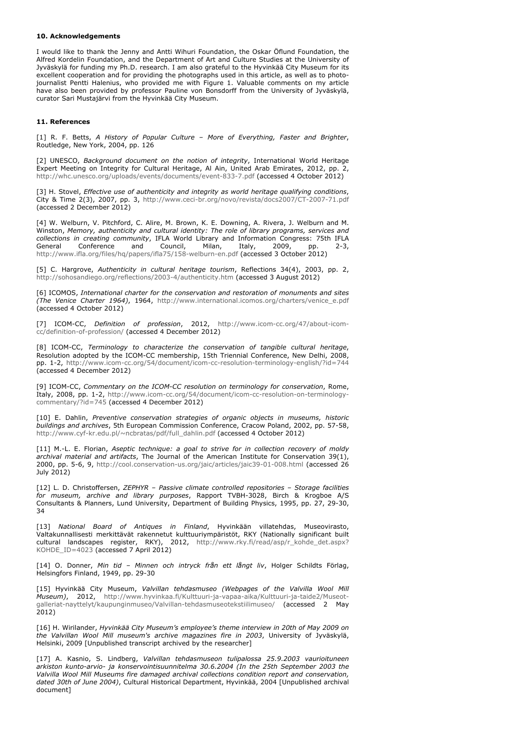#### **10. Acknowledgements**

I would like to thank the Jenny and Antti Wihuri Foundation, the Oskar Öflund Foundation, the Alfred Kordelin Foundation, and the Department of Art and Culture Studies at the University of Jyväskylä for funding my Ph.D. research. I am also grateful to the Hyvinkää City Museum for its excellent cooperation and for providing the photographs used in this article, as well as to photojournalist Pentti Halenius, who provided me with Figure 1. Valuable comments on my article have also been provided by professor Pauline von Bonsdorff from the University of Jyväskylä, curator Sari Mustajärvi from the Hyvinkää City Museum.

### **11. References**

[1] R. F. Betts, *A History of Popular Culture – More of Everything, Faster and Brighter*, Routledge, New York, 2004, pp. 126

[2] UNESCO, *Background document on the notion of integrity*, International World Heritage Expert Meeting on Integrity for Cultural Heritage, Al Ain, United Arab Emirates, 2012, pp. 2, http://whc.unesco.org/uploads/events/documents/event-833-7.pdf (accessed 4 October 2012)

[3] H. Stovel, *Effective use of authenticity and integrity as world heritage qualifying conditions*, City & Time 2(3), 2007, pp. 3, http://www.ceci-br.org/novo/revista/docs2007/CT-2007-71.pdf (accessed 2 December 2012)

[4] W. Welburn, V. Pitchford, C. Alire, M. Brown, K. E. Downing, A. Rivera, J. Welburn and M. Winston, *Memory, authenticity and cultural identity: The role of library programs, services and collections in creating community*, IFLA World Library and Information Congress: 75th IFLA General Conference and Council, Milan, Italy, 2009, pp. 2-3, http://www.ifla.org/files/hq/papers/ifla75/158-welburn-en.pdf (accessed 3 October 2012)

[5] C. Hargrove, *Authenticity in cultural heritage tourism*, Reflections 34(4), 2003, pp. 2, http://sohosandiego.org/reflections/2003-4/authenticity.htm (accessed 3 August 2012)

[6] ICOMOS, *International charter for the conservation and restoration of monuments and sites (The Venice Charter 1964)*, 1964, http://www.international.icomos.org/charters/venice\_e.pdf (accessed 4 October 2012)

[7] ICOM-CC, *Definition of profession*, 2012, http://www.icom-cc.org/47/about-icomcc/definition-of-profession/ (accessed 4 December 2012)

[8] ICOM-CC, *Terminology to characterize the conservation of tangible cultural heritage*, Resolution adopted by the ICOM-CC membership, 15th Triennial Conference, New Delhi, 2008, pp. 1-2, http://www.icom-cc.org/54/document/icom-cc-resolution-terminology-english/?id=744 (accessed 4 December 2012)

[9] ICOM-CC, *Commentary on the ICOM-CC resolution on terminology for conservation*, Rome, Italy, 2008, pp. 1-2, http://www.icom-cc.org/54/document/icom-cc-resolution-on-terminologycommentary/?id=745 (accessed 4 December 2012)

[10] E. Dahlin, *Preventive conservation strategies of organic objects in museums, historic buildings and archives*, 5th European Commission Conference, Cracow Poland, 2002, pp. 57-58, http://www.cyf-kr.edu.pl/~ncbratas/pdf/full\_dahlin.pdf (accessed 4 October 2012)

[11] M.-L. E. Florian, *Aseptic technique: a goal to strive for in collection recovery of moldy archival material and artifacts*, The Journal of the American Institute for Conservation 39(1), 2000, pp. 5-6, 9, http://cool.conservation-us.org/jaic/articles/jaic39-01-008.html (accessed 26 July 2012)

[12] L. D. Christoffersen, *ZEPHYR – Passive climate controlled repositories – Storage facilities for museum, archive and library purposes*, Rapport TVBH-3028, Birch & Krogboe A/S Consultants & Planners, Lund University, Department of Building Physics, 1995, pp. 27, 29-30, 34

[13] *National Board of Antiques in Finland*, Hyvinkään villatehdas, Museovirasto, Valtakunnallisesti merkittävät rakennetut kulttuuriympäristöt, RKY (Nationally significant built cultural landscapes register, RKY), 2012, http://www.rky.fi/read/asp/r\_kohde\_det.aspx? KOHDE\_ID=4023 (accessed 7 April 2012)

[14] O. Donner, *Min tid – Minnen och intryck från ett långt liv*, Holger Schildts Förlag, Helsingfors Finland, 1949, pp. 29-30

[15] Hyvinkää City Museum, *Valvillan tehdasmuseo (Webpages of the Valvilla Wool Mill Museum)*, 2012, http://www.hyvinkaa.fi/Kulttuuri-ja-vapaa-aika/Kulttuuri-ja-taide2/Museotgalleriat-nayttelyt/kaupunginmuseo/Valvillan-tehdasmuseotekstiilimuseo/ (accessed 2 May 2012)

[16] H. Wirilander, *Hyvinkää City Museum's employee's theme interview in 20th of May 2009 on the Valvillan Wool Mill museum's archive magazines fire in 2003*, University of Jyväskylä, Helsinki, 2009 [Unpublished transcript archived by the researcher]

[17] A. Kasnio, S. Lindberg, *Valvillan tehdasmuseon tulipalossa 25.9.2003 vaurioituneen arkiston kunto-arvio- ja konservointisuunnitelma 30.6.2004 (In the 25th September 2003 the Valvilla Wool Mill Museums fire damaged archival collections condition report and conservation, dated 30th of June 2004)*, Cultural Historical Department, Hyvinkää, 2004 [Unpublished archival document]